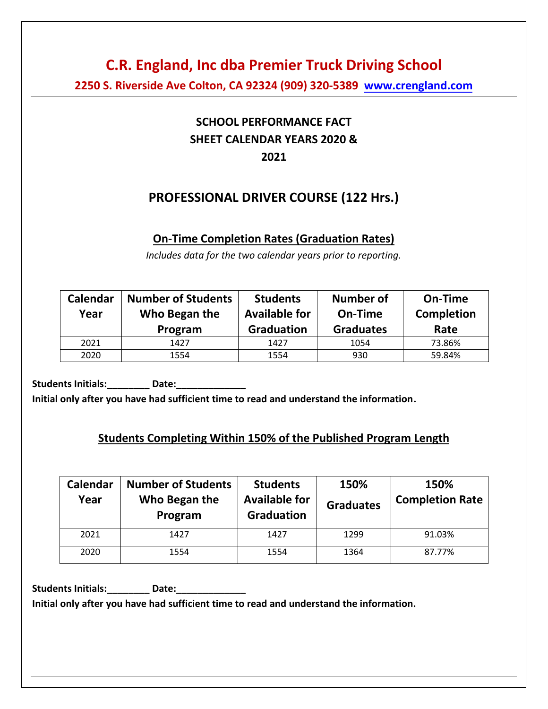**2250 S. Riverside Ave Colton, CA 92324 (909) 320-5389 [www.crengland.com](http://www.crengland.com/)**

## **SCHOOL PERFORMANCE FACT SHEET CALENDAR YEARS 2020 & 2021**

## **PROFESSIONAL DRIVER COURSE (122 Hrs.)**

#### **On-Time Completion Rates (Graduation Rates)**

*Includes data for the two calendar years prior to reporting.* 

| Calendar<br>Year | <b>Number of Students</b><br>Who Began the<br>Program | <b>Students</b><br><b>Available for</b><br><b>Graduation</b> | <b>Number of</b><br>On-Time<br><b>Graduates</b> | On-Time<br><b>Completion</b><br>Rate |
|------------------|-------------------------------------------------------|--------------------------------------------------------------|-------------------------------------------------|--------------------------------------|
| 2021             | 1427                                                  | 1427                                                         | 1054                                            | 73.86%                               |
| 2020             | 1554                                                  | 1554                                                         | 930                                             | 59.84%                               |

**Students Initials:\_\_\_\_\_\_\_\_ Date:\_\_\_\_\_\_\_\_\_\_\_\_\_** 

**Initial only after you have had sufficient time to read and understand the information.** 

### **Students Completing Within 150% of the Published Program Length**

| Calendar<br>Year | <b>Number of Students</b><br>Who Began the<br>Program | <b>Students</b><br><b>Available for</b><br><b>Graduation</b> | 150%<br><b>Graduates</b> | 150%<br><b>Completion Rate</b> |
|------------------|-------------------------------------------------------|--------------------------------------------------------------|--------------------------|--------------------------------|
| 2021             | 1427                                                  | 1427                                                         | 1299                     | 91.03%                         |
| 2020             | 1554                                                  | 1554                                                         | 1364                     | 87.77%                         |

**Students Initials:\_\_\_\_\_\_\_\_ Date:\_\_\_\_\_\_\_\_\_\_\_\_\_** 

**Initial only after you have had sufficient time to read and understand the information.**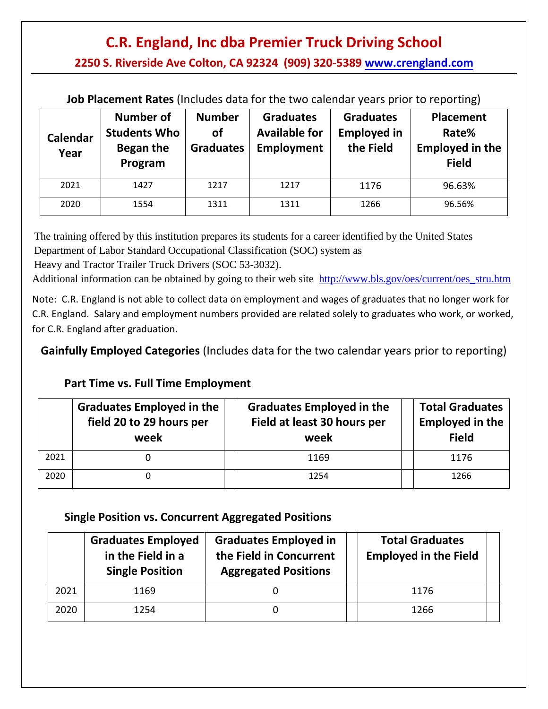**2250 S. Riverside Ave Colton, CA 92324 (909) 320-5389 [www.crengland.com](http://www.crengland.com/)**

**Job Placement Rates** (Includes data for the two calendar years prior to reporting)

| Calendar<br>Year | <b>Number of</b><br><b>Students Who</b><br>Began the<br>Program | <b>Number</b><br>οf<br><b>Graduates</b> | <b>Graduates</b><br><b>Available for</b><br>Employment | <b>Graduates</b><br><b>Employed in</b><br>the Field | <b>Placement</b><br>Rate%<br><b>Employed in the</b><br><b>Field</b> |
|------------------|-----------------------------------------------------------------|-----------------------------------------|--------------------------------------------------------|-----------------------------------------------------|---------------------------------------------------------------------|
| 2021             | 1427                                                            | 1217                                    | 1217                                                   | 1176                                                | 96.63%                                                              |
| 2020             | 1554                                                            | 1311                                    | 1311                                                   | 1266                                                | 96.56%                                                              |

The training offered by this institution prepares its students for a career identified by the United States Department of Labor Standard Occupational Classification (SOC) system as

Heavy and Tractor Trailer Truck Drivers (SOC 53-3032).

Additional information can be obtained by going to their web site [http://www.bls.gov/oes/current/oes\\_stru.htm](http://www.bls.gov/oes/current/oes_stru.htm)

Note: C.R. England is not able to collect data on employment and wages of graduates that no longer work for C.R. England. Salary and employment numbers provided are related solely to graduates who work, or worked, for C.R. England after graduation.

**Gainfully Employed Categories** (Includes data for the two calendar years prior to reporting)

## **Part Time vs. Full Time Employment**

|      | Graduates Employed in the<br>field 20 to 29 hours per<br>week | <b>Graduates Employed in the</b><br>Field at least 30 hours per<br>week | <b>Total Graduates</b><br><b>Employed in the</b><br><b>Field</b> |  |
|------|---------------------------------------------------------------|-------------------------------------------------------------------------|------------------------------------------------------------------|--|
| 2021 |                                                               | 1169                                                                    | 1176                                                             |  |
| 2020 |                                                               | 1254                                                                    | 1266                                                             |  |

### **Single Position vs. Concurrent Aggregated Positions**

|      | <b>Graduates Employed</b><br>in the Field in a<br><b>Single Position</b> | <b>Graduates Employed in</b><br>the Field in Concurrent<br><b>Aggregated Positions</b> | <b>Total Graduates</b><br><b>Employed in the Field</b> |
|------|--------------------------------------------------------------------------|----------------------------------------------------------------------------------------|--------------------------------------------------------|
| 2021 | 1169                                                                     |                                                                                        | 1176                                                   |
| 2020 | 1254                                                                     |                                                                                        | 1266                                                   |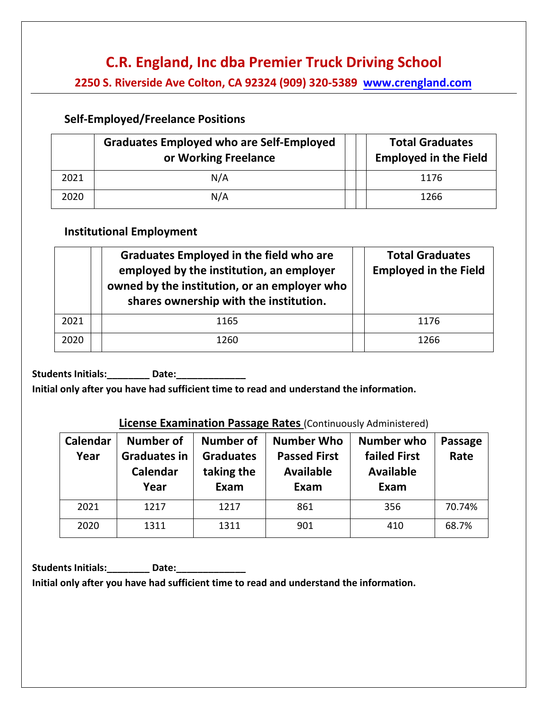**2250 S. Riverside Ave Colton, CA 92324 (909) 320-5389 [www.crengland.com](http://www.crengland.com/)**

#### **Self-Employed/Freelance Positions**

|      | <b>Graduates Employed who are Self-Employed</b><br>or Working Freelance | <b>Total Graduates</b><br><b>Employed in the Field</b> |
|------|-------------------------------------------------------------------------|--------------------------------------------------------|
| 2021 | N/A                                                                     | 1176                                                   |
| 2020 | N/A                                                                     | 1266                                                   |

#### **Institutional Employment**

|      | <b>Graduates Employed in the field who are</b><br>employed by the institution, an employer<br>owned by the institution, or an employer who<br>shares ownership with the institution. | <b>Total Graduates</b><br><b>Employed in the Field</b> |
|------|--------------------------------------------------------------------------------------------------------------------------------------------------------------------------------------|--------------------------------------------------------|
| 2021 | 1165                                                                                                                                                                                 | 1176                                                   |
| 2020 | 1260                                                                                                                                                                                 | 1266                                                   |

Students Initials: \_\_\_\_\_\_\_\_ Date: \_\_\_\_\_\_\_\_\_

**Initial only after you have had sufficient time to read and understand the information.** 

#### **License Examination Passage Rates** (Continuously Administered)

| Calendar<br>Year | Number of<br><b>Graduates in</b><br>Calendar<br>Year | <b>Number of</b><br><b>Graduates</b><br>taking the<br>Exam | <b>Number Who</b><br><b>Passed First</b><br><b>Available</b><br>Exam | Number who<br><b>failed First</b><br><b>Available</b><br>Exam | <b>Passage</b><br>Rate |
|------------------|------------------------------------------------------|------------------------------------------------------------|----------------------------------------------------------------------|---------------------------------------------------------------|------------------------|
| 2021             | 1217                                                 | 1217                                                       | 861                                                                  | 356                                                           | 70.74%                 |
| 2020             | 1311                                                 | 1311                                                       | 901                                                                  | 410                                                           | 68.7%                  |

**Students Initials:\_\_\_\_\_\_\_\_ Date:\_\_\_\_\_\_\_\_\_\_\_\_\_** 

**Initial only after you have had sufficient time to read and understand the information.**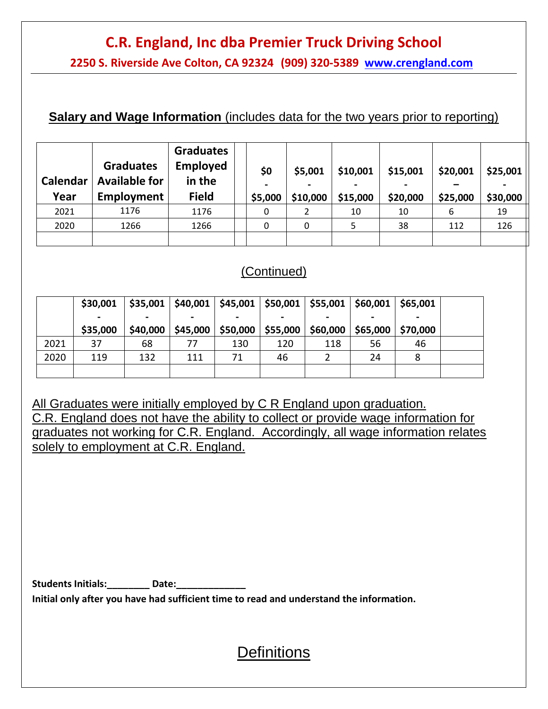**2250 S. Riverside Ave Colton, CA 92324 (909) 320-5389 [www.crengland.com](http://www.crengland.com/)**

### **Salary and Wage Information** (includes data for the two years prior to reporting)

| Calendar<br>Year | <b>Graduates</b><br><b>Available for</b><br>Employment | <b>Graduates</b><br><b>Employed</b><br>in the<br><b>Field</b> | \$0<br>\$5,000 | \$5,001<br>\$10,000 | \$10,001<br>\$15,000 | \$15,001<br>\$20,000 | \$20,001<br>\$25,000 | \$25,001<br>\$30,000 |
|------------------|--------------------------------------------------------|---------------------------------------------------------------|----------------|---------------------|----------------------|----------------------|----------------------|----------------------|
| 2021             | 1176                                                   | 1176                                                          | 0              |                     | 10                   | 10                   | 6                    | 19                   |
| 2020             | 1266                                                   | 1266                                                          | 0              | 0                   |                      | 38                   | 112                  | 126                  |
|                  |                                                        |                                                               |                |                     |                      |                      |                      |                      |

## (Continued)

|      | \$30,001 |          |          |          | $$35,001$   \$40,001   \$45,001   \$50,001   \$55,001   \$60,001 |          |          | \$65,001 |  |
|------|----------|----------|----------|----------|------------------------------------------------------------------|----------|----------|----------|--|
|      |          |          |          |          |                                                                  |          |          |          |  |
|      | \$35,000 | \$40,000 | \$45,000 | \$50,000 | \$55,000                                                         | \$60,000 | \$65,000 | \$70,000 |  |
| 2021 | 37       | 68       | 77       | 130      | 120                                                              | 118      | 56       | 46       |  |
| 2020 | 119      | 132      | 111      | 71       | 46                                                               |          | 24       | 8        |  |
|      |          |          |          |          |                                                                  |          |          |          |  |

All Graduates were initially employed by C R England upon graduation. C.R. England does not have the ability to collect or provide wage information for graduates not working for C.R. England. Accordingly, all wage information relates solely to employment at C.R. England.

Students Initials: Date:

**Initial only after you have had sufficient time to read and understand the information.** 

## **Definitions**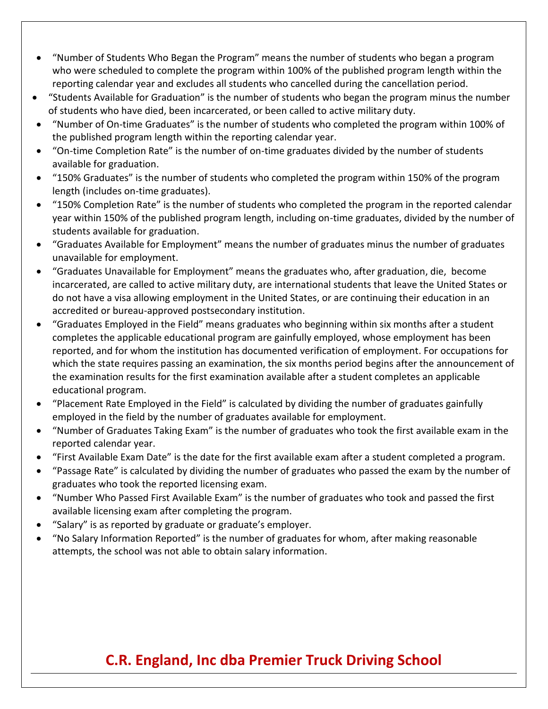- "Number of Students Who Began the Program" means the number of students who began a program who were scheduled to complete the program within 100% of the published program length within the reporting calendar year and excludes all students who cancelled during the cancellation period.
- "Students Available for Graduation" is the number of students who began the program minus the number of students who have died, been incarcerated, or been called to active military duty.
- "Number of On-time Graduates" is the number of students who completed the program within 100% of the published program length within the reporting calendar year.
- "On-time Completion Rate" is the number of on-time graduates divided by the number of students available for graduation.
- "150% Graduates" is the number of students who completed the program within 150% of the program length (includes on-time graduates).
- "150% Completion Rate" is the number of students who completed the program in the reported calendar year within 150% of the published program length, including on-time graduates, divided by the number of students available for graduation.
- "Graduates Available for Employment" means the number of graduates minus the number of graduates unavailable for employment.
- "Graduates Unavailable for Employment" means the graduates who, after graduation, die, become incarcerated, are called to active military duty, are international students that leave the United States or do not have a visa allowing employment in the United States, or are continuing their education in an accredited or bureau-approved postsecondary institution.
- "Graduates Employed in the Field" means graduates who beginning within six months after a student completes the applicable educational program are gainfully employed, whose employment has been reported, and for whom the institution has documented verification of employment. For occupations for which the state requires passing an examination, the six months period begins after the announcement of the examination results for the first examination available after a student completes an applicable educational program.
- "Placement Rate Employed in the Field" is calculated by dividing the number of graduates gainfully employed in the field by the number of graduates available for employment.
- "Number of Graduates Taking Exam" is the number of graduates who took the first available exam in the reported calendar year.
- "First Available Exam Date" is the date for the first available exam after a student completed a program.
- "Passage Rate" is calculated by dividing the number of graduates who passed the exam by the number of graduates who took the reported licensing exam.
- "Number Who Passed First Available Exam" is the number of graduates who took and passed the first available licensing exam after completing the program.
- "Salary" is as reported by graduate or graduate's employer.
- "No Salary Information Reported" is the number of graduates for whom, after making reasonable attempts, the school was not able to obtain salary information.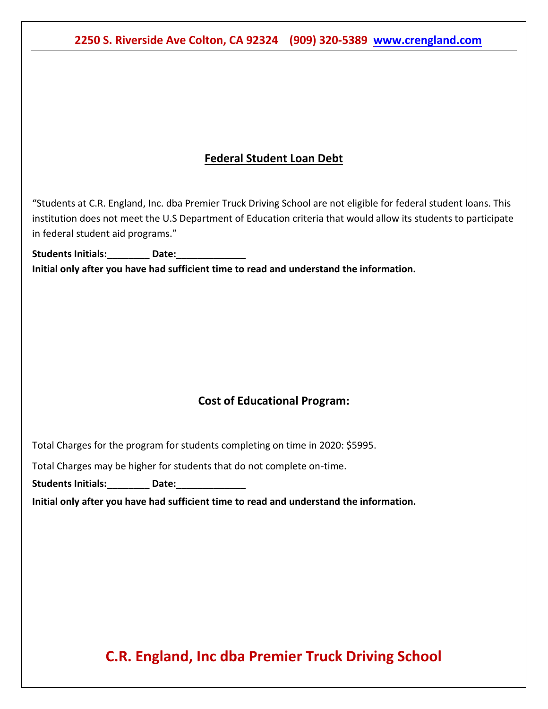**2250 S. Riverside Ave Colton, CA 92324 (909) 320-538[9 www.crengland.com](http://www.crengland.com/)**

### **Federal Student Loan Debt**

"Students at C.R. England, Inc. dba Premier Truck Driving School are not eligible for federal student loans. This institution does not meet the U.S Department of Education criteria that would allow its students to participate in federal student aid programs."

Students Initials: **Date: Initial only after you have had sufficient time to read and understand the information.** 

### **Cost of Educational Program:**

Total Charges for the program for students completing on time in 2020: \$5995.

Total Charges may be higher for students that do not complete on-time.

Students Initials: **Date:** 

**Initial only after you have had sufficient time to read and understand the information.** 

## **C.R. England, Inc dba Premier Truck Driving School**